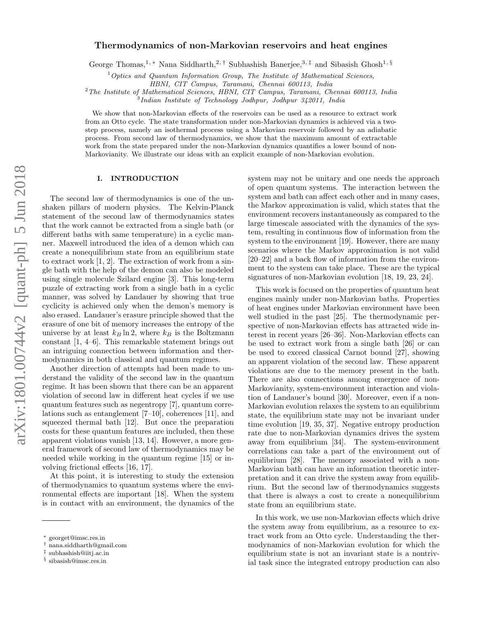# Thermodynamics of non-Markovian reservoirs and heat engines

George Thomas,<sup>1,\*</sup> Nana Siddharth,<sup>2,†</sup> Subhashish Banerjee,<sup>3,‡</sup> and Sibasish Ghosh<sup>1,§</sup>

 $1$  Optics and Quantum Information Group, The Institute of Mathematical Sciences,

HBNI, CIT Campus, Taramani, Chennai 600113, India

<sup>2</sup>The Institute of Mathematical Sciences, HBNI, CIT Campus, Taramani, Chennai 600113, India

3 Indian Institute of Technology Jodhpur, Jodhpur 342011, India

We show that non-Markovian effects of the reservoirs can be used as a resource to extract work from an Otto cycle. The state transformation under non-Markovian dynamics is achieved via a twostep process, namely an isothermal process using a Markovian reservoir followed by an adiabatic process. From second law of thermodynamics, we show that the maximum amount of extractable work from the state prepared under the non-Markovian dynamics quantifies a lower bound of non-Markovianity. We illustrate our ideas with an explicit example of non-Markovian evolution.

## I. INTRODUCTION

The second law of thermodynamics is one of the unshaken pillars of modern physics. The Kelvin-Planck statement of the second law of thermodynamics states that the work cannot be extracted from a single bath (or different baths with same temperature) in a cyclic manner. Maxwell introduced the idea of a demon which can create a nonequilibrium state from an equilibrium state to extract work [1, 2]. The extraction of work from a single bath with the help of the demon can also be modeled using single molecule Szilard engine [3]. This long-term puzzle of extracting work from a single bath in a cyclic manner, was solved by Landauer by showing that true cyclicity is achieved only when the demon's memory is also erased. Landauer's erasure principle showed that the erasure of one bit of memory increases the entropy of the universe by at least  $k_B \ln 2$ , where  $k_B$  is the Boltzmann constant [1, 4–6]. This remarkable statement brings out an intriguing connection between information and thermodynamics in both classical and quantum regimes.

Another direction of attempts had been made to understand the validity of the second law in the quantum regime. It has been shown that there can be an apparent violation of second law in different heat cycles if we use quantum features such as negentropy [7], quantum correlations such as entanglement [7–10], coherences [11], and squeezed thermal bath [12]. But once the preparation costs for these quantum features are included, then these apparent violations vanish [13, 14]. However, a more general framework of second law of thermodynamics may be needed while working in the quantum regime [15] or involving frictional effects [16, 17].

At this point, it is interesting to study the extension of thermodynamics to quantum systems where the environmental effects are important [18]. When the system is in contact with an environment, the dynamics of the system may not be unitary and one needs the approach of open quantum systems. The interaction between the system and bath can affect each other and in many cases, the Markov approximation is valid, which states that the environment recovers instantaneously as compared to the large timescale associated with the dynamics of the system, resulting in continuous flow of information from the system to the environment [19]. However, there are many scenarios where the Markov approximation is not valid [20–22] and a back flow of information from the environment to the system can take place. These are the typical signatures of non-Markovian evolution [18, 19, 23, 24].

This work is focused on the properties of quantum heat engines mainly under non-Markovian baths. Properties of heat engines under Markovian environment have been well studied in the past [25]. The thermodynamic perspective of non-Markovian effects has attracted wide interest in recent years [26–36]. Non-Markovian effects can be used to extract work from a single bath [26] or can be used to exceed classical Carnot bound [27], showing an apparent violation of the second law. These apparent violations are due to the memory present in the bath. There are also connections among emergence of non-Markovianity, system-environment interaction and violation of Landauer's bound [30]. Moreover, even if a non-Markovian evolution relaxes the system to an equilibrium state, the equilibrium state may not be invariant under time evolution [19, 35, 37]. Negative entropy production rate due to non-Markovian dynamics drives the system away from equilibrium [34]. The system-environment correlations can take a part of the environment out of equilibrium [28]. The memory associated with a non-Markovian bath can have an information theoretic interpretation and it can drive the system away from equilibrium. But the second law of thermodynamics suggests that there is always a cost to create a nonequilibrium state from an equilibrium state.

In this work, we use non-Markovian effects which drive the system away from equilibrium, as a resource to extract work from an Otto cycle. Understanding the thermodynamics of non-Markovian evolution for which the equilibrium state is not an invariant state is a nontrivial task since the integrated entropy production can also

<sup>∗</sup> georget@imsc.res.in

<sup>†</sup> nana.siddharth@gmail.com

<sup>‡</sup> subhashish@iitj.ac.in

<sup>§</sup> sibasish@imsc.res.in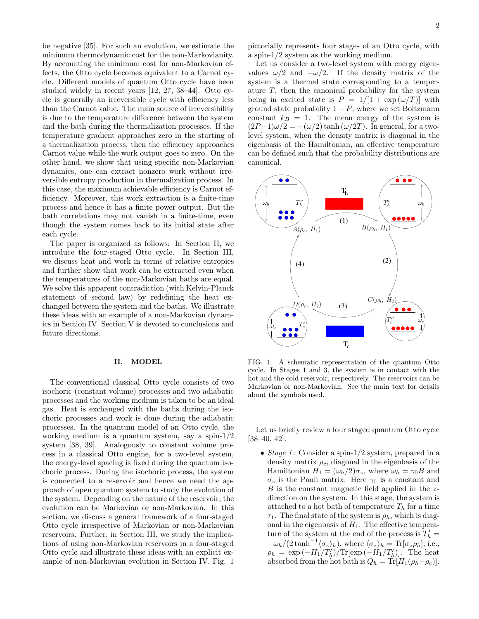be negative [35]. For such an evolution, we estimate the minimum thermodynamic cost for the non-Markovianity. By accounting the minimum cost for non-Markovian effects, the Otto cycle becomes equivalent to a Carnot cycle. Different models of quantum Otto cycle have been studied widely in recent years [12, 27, 38–44]. Otto cycle is generally an irreversible cycle with efficiency less than the Carnot value. The main source of irreversibility is due to the temperature difference between the system and the bath during the thermalization processes. If the temperature gradient approaches zero in the starting of a thermalization process, then the efficiency approaches Carnot value while the work output goes to zero. On the other hand, we show that using specific non-Markovian dynamics, one can extract nonzero work without irreversible entropy production in thermalization process. In this case, the maximum achievable efficiency is Carnot efficiency. Moreover, this work extraction is a finite-time process and hence it has a finite power output. But the bath correlations may not vanish in a finite-time, even though the system comes back to its initial state after each cycle.

The paper is organized as follows: In Section II, we introduce the four-staged Otto cycle. In Section III, we discuss heat and work in terms of relative entropies and further show that work can be extracted even when the temperatures of the non-Markovian baths are equal. We solve this apparent contradiction (with Kelvin-Planck statement of second law) by redefining the heat exchanged between the system and the baths. We illustrate these ideas with an example of a non-Markovian dynamics in Section IV. Section V is devoted to conclusions and future directions.

### II. MODEL

The conventional classical Otto cycle consists of two isochoric (constant volume) processes and two adiabatic processes and the working medium is taken to be an ideal gas. Heat is exchanged with the baths during the isochoric processes and work is done during the adiabatic processes. In the quantum model of an Otto cycle, the working medium is a quantum system, say a spin- $1/2$ system [38, 39]. Analogously to constant volume process in a classical Otto engine, for a two-level system, the energy-level spacing is fixed during the quantum isochoric process. During the isochoric process, the system is connected to a reservoir and hence we need the approach of open quantum system to study the evolution of the system. Depending on the nature of the reservoir, the evolution can be Markovian or non-Markovian. In this section, we discuss a general framework of a four-staged Otto cycle irrespective of Markovian or non-Markovian reservoirs. Further, in Section III, we study the implications of using non-Markovian reservoirs in a four-staged Otto cycle and illustrate these ideas with an explicit example of non-Markovian evolution in Section IV. Fig. 1

pictorially represents four stages of an Otto cycle, with a spin-1/2 system as the working medium.

Let us consider a two-level system with energy eigenvalues  $\omega/2$  and  $-\omega/2$ . If the density matrix of the system is a thermal state corresponding to a temperature  $T$ , then the canonical probability for the system being in excited state is  $P = 1/[1 + \exp((\omega/T))]$  with ground state probability  $1 - P$ , where we set Boltzmann constant  $k_B = 1$ . The mean energy of the system is  $(2P-1)\omega/2 = -(\omega/2) \tanh (\omega/2T)$ . In general, for a twolevel system, when the density matrix is diagonal in the eigenbasis of the Hamiltonian, an effective temperature can be defined such that the probability distributions are canonical.



FIG. 1. A schematic representation of the quantum Otto cycle. In Stages 1 and 3, the system is in contact with the hot and the cold reservoir, respectively. The reservoirs can be Markovian or non-Markovian. See the main text for details about the symbols used.

Let us briefly review a four staged quantum Otto cycle [38–40, 42].

• Stage 1: Consider a spin-1/2 system, prepared in a density matrix  $\rho_c$ , diagonal in the eigenbasis of the Hamiltonian  $H_1 = (\omega_h/2)\sigma_z$ , where  $\omega_h = \gamma_0 B$  and  $\sigma_z$  is the Pauli matrix. Here  $\gamma_0$  is a constant and  $B$  is the constant magnetic field applied in the  $z$ direction on the system. In this stage, the system is attached to a hot bath of temperature  $T_h$  for a time  $\tau_1$ . The final state of the system is  $\rho_h$ , which is diagonal in the eigenbasis of  $H_1$ . The effective temperature of the system at the end of the process is  $T'_{h}$  =  $-\omega_h/(2\tanh^{-1}\langle \sigma_z\rangle_h)$ , where  $\langle \sigma_z\rangle_h = \text{Tr}[\sigma_z\rho_h]$ , i.e.,  $\rho_h = \exp(-H_1/T'_h)/\text{Tr}[\exp(-H_1/T'_h)]$ . The heat absorbed from the hot bath is  $Q_h = \text{Tr}[H_1(\rho_h-\rho_c)].$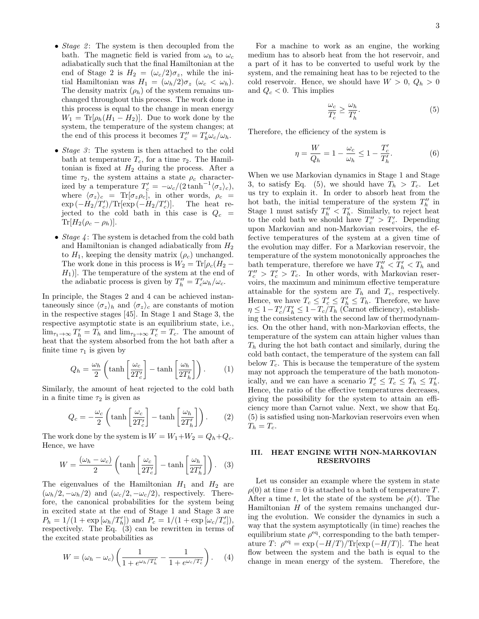- Stage 2: The system is then decoupled from the bath. The magnetic field is varied from  $\omega_h$  to  $\omega_c$ adiabatically such that the final Hamiltonian at the end of Stage 2 is  $H_2 = (\omega_c/2)\sigma_z$ , while the initial Hamiltonian was  $H_1 = (\omega_h/2)\sigma_z$  ( $\omega_c < \omega_h$ ). The density matrix  $(\rho_h)$  of the system remains unchanged throughout this process. The work done in this process is equal to the change in mean energy  $W_1 = \text{Tr}[\rho_h (H_1 - H_2)]$ . Due to work done by the system, the temperature of the system changes; at the end of this process it becomes  $T''_c = T'_h \omega_c / \omega_h$ .
- Stage  $3$ : The system is then attached to the cold bath at temperature  $T_c$ , for a time  $\tau_2$ . The Hamiltonian is fixed at  $H_2$  during the process. After a time  $\tau_2$ , the system attains a state  $\rho_c$  characterized by a temperature  $T_c' = -\omega_c/(2\tanh^{-1}\langle \sigma_z \rangle_c)$ , where  $\langle \sigma_z \rangle_c = \text{Tr}[\sigma_z \rho_c]$ , in other words,  $\rho_c =$  $\exp{(-H_2/T_c')}/\text{Tr}[\exp{(-H_2/T_c'}]$ )]. The heat rejected to the cold bath in this case is  $Q_c =$  $\text{Tr}[H_2(\rho_c - \rho_h)].$
- Stage  $\downarrow$ : The system is detached from the cold bath and Hamiltonian is changed adiabatically from  $H_2$ to  $H_1$ , keeping the density matrix  $(\rho_c)$  unchanged. The work done in this process is  $W_2 = Tr[\rho_c(H_2 (H_1)$ . The temperature of the system at the end of the adiabatic process is given by  $T''_h = T'_c \omega_h / \omega_c$ .

In principle, the Stages 2 and 4 can be achieved instantaneously since  $\langle \sigma_z \rangle_h$  and  $\langle \sigma_z \rangle_c$  are constants of motion in the respective stages [45]. In Stage 1 and Stage 3, the respective asymptotic state is an equilibrium state, i.e.,  $\lim_{\tau_1 \to \infty} T'_h = T_h$  and  $\lim_{\tau_2 \to \infty} T'_c = T_c$ . The amount of heat that the system absorbed from the hot bath after a finite time  $\tau_1$  is given by

$$
Q_h = \frac{\omega_h}{2} \left( \tanh\left[\frac{\omega_c}{2T_c'}\right] - \tanh\left[\frac{\omega_h}{2T_h'}\right] \right). \tag{1}
$$

Similarly, the amount of heat rejected to the cold bath in a finite time  $\tau_2$  is given as

$$
Q_c = -\frac{\omega_c}{2} \left( \tanh\left[\frac{\omega_c}{2T_c'}\right] - \tanh\left[\frac{\omega_h}{2T_h'}\right] \right). \tag{2}
$$

The work done by the system is  $W = W_1 + W_2 = Q_h + Q_c$ . Hence, we have

$$
W = \frac{(\omega_h - \omega_c)}{2} \left( \tanh\left[\frac{\omega_c}{2T_c'}\right] - \tanh\left[\frac{\omega_h}{2T_h'}\right] \right). \tag{3}
$$

The eigenvalues of the Hamiltonian  $H_1$  and  $H_2$  are  $(\omega_h/2, -\omega_h/2)$  and  $(\omega_c/2, -\omega_c/2)$ , respectively. Therefore, the canonical probabilities for the system being in excited state at the end of Stage 1 and Stage 3 are  $P_h = 1/(1 + \exp[\omega_h/T_h'])$  and  $P_c = 1/(1 + \exp[\omega_c/T_c'])$ , respectively. The Eq. (3) can be rewritten in terms of the excited state probabilities as

$$
W = (\omega_h - \omega_c) \left( \frac{1}{1 + e^{\omega_h/T_h'}} - \frac{1}{1 + e^{\omega_c/T_c'}} \right). \tag{4}
$$

For a machine to work as an engine, the working medium has to absorb heat from the hot reservoir, and a part of it has to be converted to useful work by the system, and the remaining heat has to be rejected to the cold reservoir. Hence, we should have  $W > 0$ ,  $Q_h > 0$ and  $Q_c < 0$ . This implies

$$
\frac{\omega_c}{T_c'} \ge \frac{\omega_h}{T_h'}.\tag{5}
$$

Therefore, the efficiency of the system is

$$
\eta = \frac{W}{Q_h} = 1 - \frac{\omega_c}{\omega_h} \le 1 - \frac{T_c'}{T_h'}.
$$
 (6)

When we use Markovian dynamics in Stage 1 and Stage 3, to satisfy Eq. (5), we should have  $T_h > T_c$ . Let us try to explain it. In order to absorb heat from the hot bath, the initial temperature of the system  $T''_h$  in Stage 1 must satisfy  $T''_h < T'_h$ . Similarly, to reject heat to the cold bath we should have  $T''_c > T'_c$ . Depending upon Markovian and non-Markovian reservoirs, the effective temperatures of the system at a given time of the evolution may differ. For a Markovian reservoir, the temperature of the system monotonically approaches the bath temperature, therefore we have  $T''_h < T'_h < T_h$  and  $T''_c > T'_c > T_c$ . In other words, with Markovian reservoirs, the maximum and minimum effective temperature attainable for the system are  $T_h$  and  $T_c$ , respectively. Hence, we have  $T_c \leq T'_c \leq T'_h \leq T_h$ . Therefore, we have  $\eta \leq 1 - T_c'/T_h' \leq 1 - T_c/T_h$  (Carnot efficiency), establishing the consistency with the second law of thermodynamics. On the other hand, with non-Markovian effects, the temperature of the system can attain higher values than  $T_h$  during the hot bath contact and similarly, during the cold bath contact, the temperature of the system can fall below  $T_c$ . This is because the temperature of the system may not approach the temperature of the bath monotonically, and we can have a scenario  $T'_c \leq T_c \leq T_h \leq T'_h$ . Hence, the ratio of the effective temperatures decreases, giving the possibility for the system to attain an efficiency more than Carnot value. Next, we show that Eq. (5) is satisfied using non-Markovian reservoirs even when  $T_h = T_c$ .

## III. HEAT ENGINE WITH NON-MARKOVIAN RESERVOIRS

Let us consider an example where the system in state  $\rho(0)$  at time  $t = 0$  is attached to a bath of temperature T. After a time t, let the state of the system be  $\rho(t)$ . The Hamiltonian  $H$  of the system remains unchanged during the evolution. We consider the dynamics in such a way that the system asymptotically (in time) reaches the equilibrium state  $\rho^{\text{eq}}$ , corresponding to the bath temperature T:  $\rho^{\text{eq}} = \exp(-H/T)/\text{Tr}[\exp(-H/T)].$  The heat flow between the system and the bath is equal to the change in mean energy of the system. Therefore, the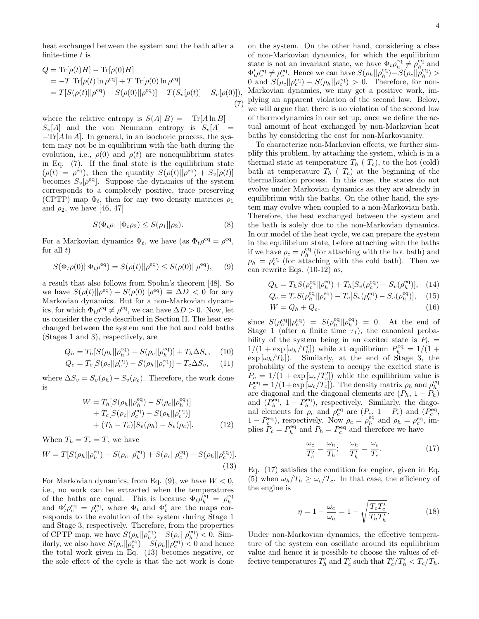heat exchanged between the system and the bath after a finite-time  $t$  is

$$
Q = \text{Tr}[\rho(t)H] - \text{Tr}[\rho(0)H] = -T \text{Tr}[\rho(t) \ln \rho^{\text{eq}}] + T \text{Tr}[\rho(0) \ln \rho^{\text{eq}}] = T[S(\rho(t)||\rho^{\text{eq}}) - S(\rho(0)||\rho^{\text{eq}})] + T(S_v[\rho(t)] - S_v[\rho(0)]),
$$
(7)

where the relative entropy is  $S(A||B) = -\text{Tr}[A \ln B]$  –  $S_v[A]$  and the von Neumann entropy is  $S_v[A]$  = −Tr[A ln A]. In general, in an isochoric process, the system may not be in equilibrium with the bath during the evolution, i.e.,  $\rho(0)$  and  $\rho(t)$  are nonequilibrium states in Eq. (7). If the final state is the equilibrium state  $(\rho(t) = \rho^{\text{eq}})$ , then the quantity  $S(\rho(t)||\rho^{\text{eq}}) + S_v[\rho(t)]$ becomes  $S_v[\rho^{\text{eq}}]$ . Suppose the dynamics of the system corresponds to a completely positive, trace preserving (CPTP) map  $\Phi_t$ , then for any two density matrices  $\rho_1$ and  $\rho_2$ , we have [46, 47]

$$
S(\Phi_t \rho_1 || \Phi_t \rho_2) \le S(\rho_1 || \rho_2). \tag{8}
$$

For a Markovian dynamics  $\Phi_t$ , we have (as  $\Phi_t \rho^{\text{eq}} = \rho^{\text{eq}}$ , for all  $t)$ 

$$
S(\Phi_t \rho(0) || \Phi_t \rho^{\text{eq}}) = S(\rho(t) || \rho^{\text{eq}}) \le S(\rho(0) || \rho^{\text{eq}}), \quad (9)
$$

a result that also follows from Spohn's theorem [48]. So we have  $S(\rho(t)||\rho^{eq}) - S(\rho(0)||\rho^{eq}) \equiv \Delta D < 0$  for any Markovian dynamics. But for a non-Markovian dynamics, for which  $\Phi_t \rho^{\text{eq}} \neq \rho^{\text{eq}}$ , we can have  $\Delta D > 0$ . Now, let us consider the cycle described in Section II. The heat exchanged between the system and the hot and cold baths (Stages 1 and 3), respectively, are

$$
Q_h = T_h[S(\rho_h || \rho_h^{\text{eq}}) - S(\rho_c || \rho_h^{\text{eq}})] + T_h \Delta S_v, \quad (10)
$$

$$
Q_c = T_c[S(\rho_c||\rho_c^{\text{eq}}) - S(\rho_h||\rho_c^{\text{eq}})] - T_c \Delta S_v, \quad (11)
$$

where  $\Delta S_v = S_v(\rho_h) - S_v(\rho_c)$ . Therefore, the work done is

$$
W = T_h[S(\rho_h || \rho_h^{\text{eq}}) - S(\rho_c || \rho_h^{\text{eq}})] + T_c[S(\rho_c || \rho_c^{\text{eq}}) - S(\rho_h || \rho_c^{\text{eq}})] + (T_h - T_c)[S_v(\rho_h) - S_v(\rho_c)].
$$
(12)

When  $T_h = T_c = T$ , we have

$$
W = T[S(\rho_h || \rho_h^{\text{eq}}) - S(\rho_c || \rho_h^{\text{eq}}) + S(\rho_c || \rho_c^{\text{eq}}) - S(\rho_h || \rho_c^{\text{eq}})].
$$
\n(13)

For Markovian dynamics, from Eq.  $(9)$ , we have  $W < 0$ , i.e., no work can be extracted when the temperatures of the baths are equal. This is because  $\Phi_t \rho_h^{\text{eq}} = \rho_h^{\text{eq}}$ and  $\Phi_t' \rho_c^{\text{eq}} = \rho_c^{\text{eq}}$ , where  $\Phi_t$  and  $\Phi_t'$  are the maps corresponds to the evolution of the system during Stage 1 and Stage 3, respectively. Therefore, from the properties of CPTP map, we have  $S(\rho_h || \rho_h^{\text{eq}}) - S(\rho_c || \rho_h^{\text{eq}}) < 0$ . Similarly, we also have  $S(\rho_c|| \rho_c^{\text{eq}}) - S(\rho_h || \rho_c^{\text{eq}}) < 0$  and hence the total work given in Eq. (13) becomes negative, or the sole effect of the cycle is that the net work is done on the system. On the other hand, considering a class of non-Markovian dynamics, for which the equilibrium state is not an invariant state, we have  $\Phi_t \rho_h^{\text{eq}} \neq \rho_h^{\text{eq}}$  and  $\Phi_t' \rho_c^{\text{eq}} \neq \rho_c^{\text{eq}}$ . Hence we can have  $S(\rho_h || \rho_h^{\text{eq}}) - S(\rho_c || \rho_h^{\text{eq}}) >$ 0 and  $S(\rho_c||\rho_c^{eq}) - S(\rho_h||\rho_c^{eq}) > 0$ . Therefore, for non-Markovian dynamics, we may get a positive work, implying an apparent violation of the second law. Below, we will argue that there is no violation of the second law of thermodynamics in our set up, once we define the actual amount of heat exchanged by non-Markovian heat baths by considering the cost for non-Markovianity.

To characterize non-Markovian effects, we further simplify this problem, by attaching the system, which is in a thermal state at temperature  $T_h$  ( $T_c$ ), to the hot (cold) bath at temperature  $T_h$  ( $T_c$ ) at the beginning of the thermalization process. In this case, the states do not evolve under Markovian dynamics as they are already in equilibrium with the baths. On the other hand, the system may evolve when coupled to a non-Markovian bath. Therefore, the heat exchanged between the system and the bath is solely due to the non-Markovian dynamics. In our model of the heat cycle, we can prepare the system in the equilibrium state, before attaching with the baths if we have  $\rho_c = \rho_h^{\text{eq}}$  (for attaching with the hot bath) and  $\rho_h = \rho_c^{\text{eq}}$  (for attaching with the cold bath). Then we can rewrite Eqs. (10-12) as,

$$
Q_h = T_h S(\rho_c^{eq} || \rho_h^{eq}) + T_h [S_v(\rho_c^{eq}) - S_v(\rho_h^{eq})], \quad (14)
$$
  
\n
$$
Q_c = T_c S(\rho_h^{eq} || \rho_c^{eq}) - T_c [S_v(\rho_c^{eq}) - S_v(\rho_h^{eq})], \quad (15)
$$

$$
Q_c = T_c S(\rho_h^{\text{eq}} || \rho_c^{\text{eq}}) - T_c [S_v(\rho_c^{\text{eq}}) - S_v(\rho_h^{\text{eq}})], \quad (15)
$$

$$
W = Q_h + Q_c,\tag{16}
$$

since  $S(\rho_c^{\text{eq}}||\rho_c^{\text{eq}}) = S(\rho_h^{\text{eq}}||\rho_h^{\text{eq}}) = 0$ . At the end of Stage 1 (after a finite time  $\tau_1$ ), the canonical probability of the system being in an excited state is  $P_h$  =  $1/(1 + \exp[\omega_h/T'_h])$  while at equilibrium  $P_h^{\text{eq}} = 1/(1 +$  $\exp \left[\omega_h / T_h\right]$ . Similarly, at the end of Stage 3, the probability of the system to occupy the excited state is  $P_c = 1/(1 + \exp[\omega_c/T_c'])$  while the equilibrium value is  $P_c^{\text{eq}} = 1/(1 + \exp[\omega_c/T_c])$ . The density matrix  $\rho_h$  and  $\rho_h^{\text{eq}}$ are diagonal and the diagonal elements are  $(P_h, 1 - P_h)$ and  $(P_h^{\text{eq}}, 1 - P_h^{\text{eq}})$ , respectively. Similarly, the diagonal elements for  $\rho_c$  and  $\rho_c^{\text{eq}}$  are  $(P_c, 1 - P_c)$  and  $(P_c^{\text{eq}},$  $1 - P_c^{\text{eq}}$ , respectively. Now  $\rho_c = \rho_h^{\text{eq}}$  and  $\rho_h = \rho_c^{\text{eq}}$ , implies  $P_c = P_h^{\text{eq}}$  and  $P_h = P_c^{\text{eq}}$  and therefore we have

$$
\frac{\omega_c}{T_c'} = \frac{\omega_h}{T_h}; \quad \frac{\omega_h}{T_h'} = \frac{\omega_c}{T_c}.
$$
\n(17)

Eq. (17) satisfies the condition for engine, given in Eq. (5) when  $\omega_h/T_h \geq \omega_c/T_c$ . In that case, the efficiency of the engine is

$$
\eta = 1 - \frac{\omega_c}{\omega_h} = 1 - \sqrt{\frac{T_c T_c'}{T_h T_h'}}.\tag{18}
$$

Under non-Markovian dynamics, the effective temperature of the system can oscillate around its equilibrium value and hence it is possible to choose the values of effective temperatures  $T'_{h}$  and  $T'_{c}$  such that  $T'_{c}/T'_{h} < T_{c}/T_{h}$ .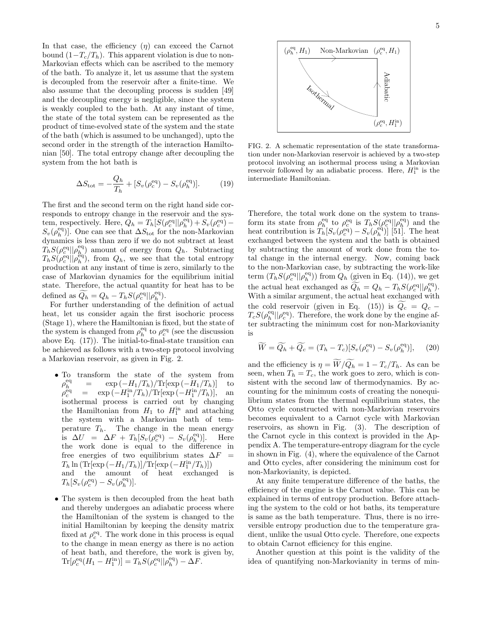In that case, the efficiency  $(\eta)$  can exceed the Carnot bound  $(1-T_c/T_h)$ . This apparent violation is due to non-Markovian effects which can be ascribed to the memory of the bath. To analyze it, let us assume that the system is decoupled from the reservoir after a finite-time. We also assume that the decoupling process is sudden [49] and the decoupling energy is negligible, since the system is weakly coupled to the bath. At any instant of time, the state of the total system can be represented as the product of time-evolved state of the system and the state of the bath (which is assumed to be unchanged), upto the second order in the strength of the interaction Hamiltonian [50]. The total entropy change after decoupling the system from the hot bath is

$$
\Delta S_{\text{tot}} = -\frac{Q_h}{T_h} + [S_v(\rho_c^{\text{eq}}) - S_v(\rho_h^{\text{eq}})].
$$
 (19)

The first and the second term on the right hand side corresponds to entropy change in the reservoir and the system, respectively. Here,  $\widetilde{Q}_h = T_h[S(\rho_c^{\text{eq}}||\rho_h^{\text{eq}}) + S_v(\rho_c^{\text{eq}})]$  $S_v(\rho_h^{\text{eq}})$ . One can see that  $\Delta S_{\text{tot}}$  for the non-Markovian dynamics is less than zero if we do not subtract at least  $\tilde{T}_h S(\rho_c^{\text{eq}}||\rho_h^{\text{eq}})$  amount of energy from  $Q_h$ . Subtracting  $T_h S(\rho_{c}^{\text{eq}}||\rho_h^{\text{eq}})$ , from  $Q_h$ , we see that the total entropy production at any instant of time is zero, similarly to the case of Markovian dynamics for the equilibrium initial state. Therefore, the actual quantity for heat has to be defined as  $\widetilde{Q}_h = Q_h - T_h S(\rho_c^{\text{eq}} || \rho_h^{\text{eq}}).$ 

For further understanding of the definition of actual heat, let us consider again the first isochoric process (Stage 1), where the Hamiltonian is fixed, but the state of the system is changed from  $\rho_h^{\text{eq}}$  to  $\rho_c^{\text{eq}}$  (see the discussion above Eq. (17)). The initial-to-final-state transition can be achieved as follows with a two-step protocol involving a Markovian reservoir, as given in Fig. 2.

- To transform the state of the system from  $\rho_h^{\rm eq}$  $=$  exp  $\left(-H_1/T_h\right)/\text{Tr}[\exp\left(-H_1/T_h\right)]$  to<br>= exp  $\left(-H_1^{\text{in}}/T_h\right)/\text{Tr}[\exp\left(-H_1^{\text{in}}/T_h\right)]$ , and  $\rho_c^{\rm eq}$  $\begin{array}{lll} \frac{1}{c} & = & \exp\left(-H_1^{\text{in}}/T_h\right)/\text{Tr}[\exp\left(-H_1^{\text{in}}/T_h\right)], \end{array}$  and isothermal process is carried out by changing the Hamiltonian from  $H_1$  to  $H_1^{\text{in}}$  and attaching the system with a Markovian bath of temperature  $T_h$ . The change in the mean energy is  $\Delta U = \Delta F + T_h[S_v(\rho_c^{\text{eq}}) - S_v(\rho_h^{\text{eq}})]$ )]. Here the work done is equal to the difference in free energies of two equilibrium states  $\Delta F =$  $T_h \ln \left( \text{Tr}[\exp \left(-H_1/T_h\right)] / \text{Tr}[\exp \left(-H_1^{\text{in}}/T_h\right)] \right)$ and the amount of heat exchanged is  $T_h[S_v(\rho_c^{\text{eq}}) - S_v(\rho_h^{\text{eq}})].$
- The system is then decoupled from the heat bath and thereby undergoes an adiabatic process where the Hamiltonian of the system is changed to the initial Hamiltonian by keeping the density matrix fixed at  $\rho_c^{\text{eq}}$ . The work done in this process is equal to the change in mean energy as there is no action of heat bath, and therefore, the work is given by,  $\text{Tr}[\rho_c^{\text{eq}}(H_1 - H_1^{\text{in}})] = T_h S(\rho_c^{\text{eq}} || \rho_h^{\text{eq}}) - \Delta F.$



FIG. 2. A schematic representation of the state transformation under non-Markovian reservoir is achieved by a two-step protocol involving an isothermal process using a Markovian reservoir followed by an adiabatic process. Here,  $H_1^{\text{in}}$  is the intermediate Hamiltonian.

Therefore, the total work done on the system to transform its state from  $\rho_h^{\text{eq}}$  to  $\rho_c^{\text{eq}}$  is  $T_h S(\rho_c^{\text{eq}}||\rho_h^{\text{eq}})$  and the heat contribution is  $T_h^{\mu}[S_v(\rho_c^{\text{eq}}) - S_v(\rho_h^{\text{eq}})]$  [51]. The heat exchanged between the system and the bath is obtained by subtracting the amount of work done from the total change in the internal energy. Now, coming back to the non-Markovian case, by subtracting the work-like term  $(T_h S(\rho_c^{\text{eq}} || \rho_h^{\text{eq}}))$  from  $Q_h$  (given in Eq. (14)), we get the actual heat exchanged as  $\widetilde{Q_h} = Q_h - T_h S(\rho_c^{\text{eq}} || \rho_h^{\text{eq}}).$ With a similar argument, the actual heat exchanged with the cold reservoir (given in Eq. (15)) is  $Q_c = Q_c T_cS(\rho_h^{\text{eq}}||\rho_c^{\text{eq}})$ . Therefore, the work done by the engine after subtracting the minimum cost for non-Markovianity is

$$
\widetilde{W} = \widetilde{Q_h} + \widetilde{Q_c} = (T_h - T_c)[S_v(\rho_c^{\text{eq}}) - S_v(\rho_h^{\text{eq}})], \quad (20)
$$

and the efficiency is  $\eta = \widetilde{W}/\widetilde{Q}_h = 1 - T_c/T_h$ . As can be seen, when  $T_h = T_c$ , the work goes to zero, which is consistent with the second law of thermodynamics. By accounting for the minimum costs of creating the nonequilibrium states from the thermal equilibrium states, the Otto cycle constructed with non-Markovian reservoirs becomes equivalent to a Carnot cycle with Markovian reservoirs, as shown in Fig. (3). The description of the Carnot cycle in this context is provided in the Appendix A. The temperature-entropy diagram for the cycle in shown in Fig. (4), where the equivalence of the Carnot and Otto cycles, after considering the minimum cost for non-Markovianity, is depicted.

At any finite temperature difference of the baths, the efficiency of the engine is the Carnot value. This can be explained in terms of entropy production. Before attaching the system to the cold or hot baths, its temperature is same as the bath temperature. Thus, there is no irreversible entropy production due to the temperature gradient, unlike the usual Otto cycle. Therefore, one expects to obtain Carnot efficiency for this engine.

Another question at this point is the validity of the idea of quantifying non-Markovianity in terms of min-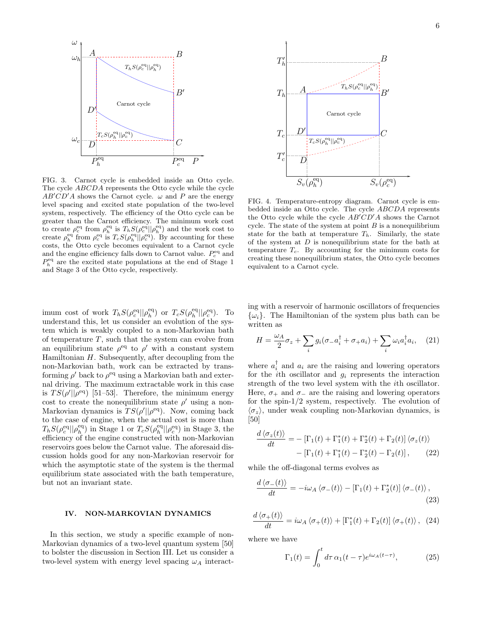

FIG. 3. Carnot cycle is embedded inside an Otto cycle. The cycle ABCDA represents the Otto cycle while the cycle  $AB'CD'A$  shows the Carnot cycle.  $\omega$  and P are the energy level spacing and excited state population of the two-level system, respectively. The efficiency of the Otto cycle can be greater than the Carnot efficiency. The minimum work cost to create  $\rho_c^{\text{eq}}$  from  $\rho_h^{\text{eq}}$  is  $T_h S(\rho_c^{\text{eq}} || \rho_h^{\text{eq}})$  and the work cost to create  $\rho_h^{\text{eq}}$  from  $\rho_c^{\text{eq}}$  is  $T_cS(\rho_h^{\text{eq}}||\rho_c^{\text{eq}})$ . By accounting for these costs, the Otto cycle becomes equivalent to a Carnot cycle and the engine efficiency falls down to Carnot value.  $P_c^{eq}$  and  $P_h^{\text{eq}}$  are the excited state populations at the end of Stage 1 and Stage 3 of the Otto cycle, respectively.

imum cost of work  $T_h S(\rho_c^{\text{eq}} || \rho_h^{\text{eq}})$  or  $T_c S(\rho_h^{\text{eq}} || \rho_c^{\text{eq}})$ . To understand this, let us consider an evolution of the system which is weakly coupled to a non-Markovian bath of temperature  $T$ , such that the system can evolve from an equilibrium state  $\rho^{eq}$  to  $\rho'$  with a constant system Hamiltonian  $H$ . Subsequently, after decoupling from the non-Markovian bath, work can be extracted by transforming  $\rho'$  back to  $\rho^{\text{eq}}$  using a Markovian bath and external driving. The maximum extractable work in this case is  $TS(\rho' || \rho^{\text{eq}})$  [51–53]. Therefore, the minimum energy cost to create the nonequilibrium state  $\rho'$  using a non-Markovian dynamics is  $TS(\rho' || \rho^{\text{eq}})$ . Now, coming back to the case of engine, when the actual cost is more than  $T_hS(\rho_c^{eq}||\rho_h^{eq})$  in Stage 1 or  $T_cS(\rho_h^{eq}||\rho_c^{eq})$  in Stage 3, the efficiency of the engine constructed with non-Markovian reservoirs goes below the Carnot value. The aforesaid discussion holds good for any non-Markovian reservoir for which the asymptotic state of the system is the thermal equilibrium state associated with the bath temperature, but not an invariant state.

#### IV. NON-MARKOVIAN DYNAMICS

In this section, we study a specific example of non-Markovian dynamics of a two-level quantum system [50] to bolster the discussion in Section III. Let us consider a two-level system with energy level spacing  $\omega_A$  interact-



FIG. 4. Temperature-entropy diagram. Carnot cycle is embedded inside an Otto cycle. The cycle ABCDA represents the Otto cycle while the cycle  $AB'CD'A$  shows the Carnot cycle. The state of the system at point  $B$  is a nonequilibrium state for the bath at temperature  $T_h$ . Similarly, the state of the system at  $D$  is nonequilibrium state for the bath at temperature  $T_c$ . By accounting for the minimum costs for creating these nonequilibrium states, the Otto cycle becomes equivalent to a Carnot cycle.

ing with a reservoir of harmonic oscillators of frequencies  $\{\omega_i\}$ . The Hamiltonian of the system plus bath can be written as

$$
H = \frac{\omega_A}{2}\sigma_z + \sum_i g_i(\sigma_- a_i^{\dagger} + \sigma_+ a_i) + \sum_i \omega_i a_i^{\dagger} a_i, \quad (21)
$$

where  $a_i^{\dagger}$  and  $a_i$  are the raising and lowering operators for the *i*th oscillator and  $q_i$  represents the interaction strength of the two level system with the ith oscillator. Here,  $\sigma_+$  and  $\sigma_-$  are the raising and lowering operators for the spin-1/2 system, respectively. The evolution of  $\langle \sigma_z \rangle$ , under weak coupling non-Markovian dynamics, is [50]

$$
\frac{d\langle\sigma_z(t)\rangle}{dt} = -\left[\Gamma_1(t) + \Gamma_1^*(t) + \Gamma_2^*(t) + \Gamma_2(t)\right]\langle\sigma_z(t)\rangle
$$

$$
-\left[\Gamma_1(t) + \Gamma_1^*(t) - \Gamma_2^*(t) - \Gamma_2(t)\right],\qquad(22)
$$

while the off-diagonal terms evolves as

$$
\frac{d\left\langle \sigma_{-}(t)\right\rangle}{dt} = -i\omega_{A}\left\langle \sigma_{-}(t)\right\rangle - \left[\Gamma_{1}(t) + \Gamma_{2}^{*}(t)\right]\left\langle \sigma_{-}(t)\right\rangle, \tag{23}
$$

$$
\frac{d\left\langle \sigma_{+}(t)\right\rangle}{dt}=i\omega_{A}\left\langle \sigma_{+}(t)\right\rangle +\left[\Gamma_{1}^{*}(t)+\Gamma_{2}(t)\right]\left\langle \sigma_{+}(t)\right\rangle, (24)
$$

where we have

$$
\Gamma_1(t) = \int_0^t d\tau \, \alpha_1(t-\tau) e^{i\omega_A(t-\tau)},\tag{25}
$$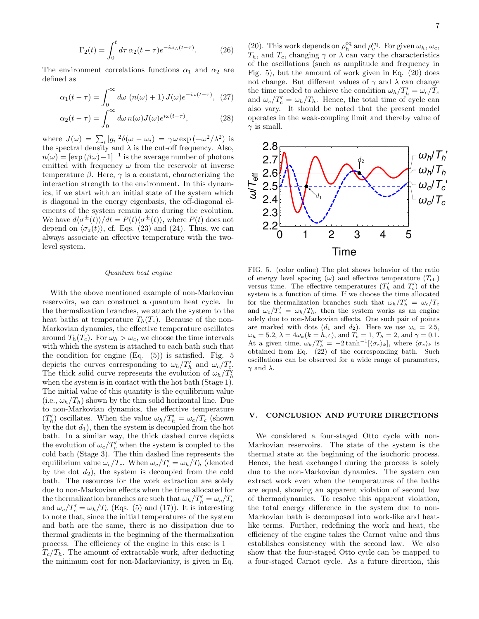$$
\Gamma_2(t) = \int_0^t d\tau \,\alpha_2(t-\tau)e^{-i\omega_A(t-\tau)}.\tag{26}
$$

The environment correlations functions  $\alpha_1$  and  $\alpha_2$  are defined as

$$
\alpha_1(t-\tau) = \int_0^\infty d\omega \, (n(\omega) + 1) \, J(\omega) e^{-i\omega(t-\tau)}, \tag{27}
$$

$$
\alpha_2(t-\tau) = \int_0^\infty d\omega \, n(\omega) J(\omega) e^{i\omega(t-\tau)}, \tag{28}
$$

where  $J(\omega) = \sum_i |g_i|^2 \delta(\omega - \omega_i) = \gamma \omega \exp(-\omega^2/\lambda^2)$  is the spectral density and  $\lambda$  is the cut-off frequency. Also,  $n(\omega) = [\exp(\beta \omega) - 1]^{-1}$  is the average number of photons emitted with frequency  $\omega$  from the reservoir at inverse temperature  $\beta$ . Here,  $\gamma$  is a constant, characterizing the interaction strength to the environment. In this dynamics, if we start with an initial state of the system which is diagonal in the energy eigenbasis, the off-diagonal elements of the system remain zero during the evolution. We have  $d\langle \sigma^{\pm}(t)\rangle/dt = P(t)\langle \sigma^{\pm}(t)\rangle$ , where  $P(t)$  does not depend on  $\langle \sigma_z(t) \rangle$ , cf. Eqs. (23) and (24). Thus, we can always associate an effective temperature with the twolevel system.

#### Quantum heat engine

With the above mentioned example of non-Markovian reservoirs, we can construct a quantum heat cycle. In the thermalization branches, we attach the system to the heat baths at temperature  $T_h(T_c)$ . Because of the non-Markovian dynamics, the effective temperature oscillates around  $T_h(T_c)$ . For  $\omega_h > \omega_c$ , we choose the time intervals with which the system is attached to each bath such that the condition for engine  $(Eq. (5))$  is satisfied. Fig. 5 depicts the curves corresponding to  $\omega_h/T'_h$  and  $\omega_c/T'_c$ . The thick solid curve represents the evolution of  $\omega_h / T'_h$ when the system is in contact with the hot bath (Stage 1). The initial value of this quantity is the equilibrium value (i.e.,  $\omega_h/T_h$ ) shown by the thin solid horizontal line. Due to non-Markovian dynamics, the effective temperature  $(T'_{h})$  oscillates. When the value  $\omega_{h}/T'_{h} = \omega_{c}/T_{c}$  (shown by the dot  $d_1$ , then the system is decoupled from the hot bath. In a similar way, the thick dashed curve depicts the evolution of  $\omega_c/T_c'$  when the system is coupled to the cold bath (Stage 3). The thin dashed line represents the equilibrium value  $\omega_c/T_c$ . When  $\omega_c/T_c' = \omega_h/T_h$  (denoted by the dot  $d_2$ ), the system is decoupled from the cold bath. The resources for the work extraction are solely due to non-Markovian effects when the time allocated for the thermalization branches are such that  $\omega_h/T'_h = \omega_c/T_c$ and  $\omega_c/T_c' = \omega_h/T_h$  (Eqs. (5) and (17)). It is interesting to note that, since the initial temperatures of the system and bath are the same, there is no dissipation due to thermal gradients in the beginning of the thermalization process. The efficiency of the engine in this case is  $1 T_c/T_h$ . The amount of extractable work, after deducting the minimum cost for non-Markovianity, is given in Eq.

(20). This work depends on  $\rho_h^{\text{eq}}$  and  $\rho_c^{\text{eq}}$ . For given  $\omega_h$ ,  $\omega_c$ ,  $T_h$ , and  $T_c$ , changing  $\gamma$  or  $\lambda$  can vary the characteristics of the oscillations (such as amplitude and frequency in Fig. 5), but the amount of work given in Eq. (20) does not change. But different values of  $\gamma$  and  $\lambda$  can change the time needed to achieve the condition  $\omega_h/T'_h = \omega_c/T_c$ and  $\omega_c/T_c' = \omega_h/T_h$ . Hence, the total time of cycle can also vary. It should be noted that the present model operates in the weak-coupling limit and thereby value of  $\gamma$  is small.



FIG. 5. (color online) The plot shows behavior of the ratio of energy level spacing  $(\omega)$  and effective temperature  $(T_{\text{eff}})$ versus time. The effective temperatures  $(T'_{h}$  and  $T'_{c})$  of the system is a function of time. If we choose the time allocated for the thermalization branches such that  $\omega_h/T'_h = \omega_c/T_c$ and  $\omega_c/T_c' = \omega_h/T_h$ , then the system works as an engine solely due to non-Markovian effects. One such pair of points are marked with dots  $(d_1 \text{ and } d_2)$ . Here we use  $\omega_c = 2.5$ ,  $\omega_h = 5.2, \lambda = 4\omega_k (k = h, c)$ , and  $T_c = 1, T_h = 2$ , and  $\gamma = 0.1$ . At a given time,  $\omega_k/T'_k = -2 \tanh^{-1}[\langle \sigma_z \rangle_k]$ , where  $\langle \sigma_z \rangle_k$  is obtained from Eq. (22) of the corresponding bath. Such oscillations can be observed for a wide range of parameters,  $\gamma$  and  $\lambda$ .

### V. CONCLUSION AND FUTURE DIRECTIONS

We considered a four-staged Otto cycle with non-Markovian reservoirs. The state of the system is the thermal state at the beginning of the isochoric process. Hence, the heat exchanged during the process is solely due to the non-Markovian dynamics. The system can extract work even when the temperatures of the baths are equal, showing an apparent violation of second law of thermodynamics. To resolve this apparent violation, the total energy difference in the system due to non-Markovian bath is decomposed into work-like and heatlike terms. Further, redefining the work and heat, the efficiency of the engine takes the Carnot value and thus establishes consistency with the second law. We also show that the four-staged Otto cycle can be mapped to a four-staged Carnot cycle. As a future direction, this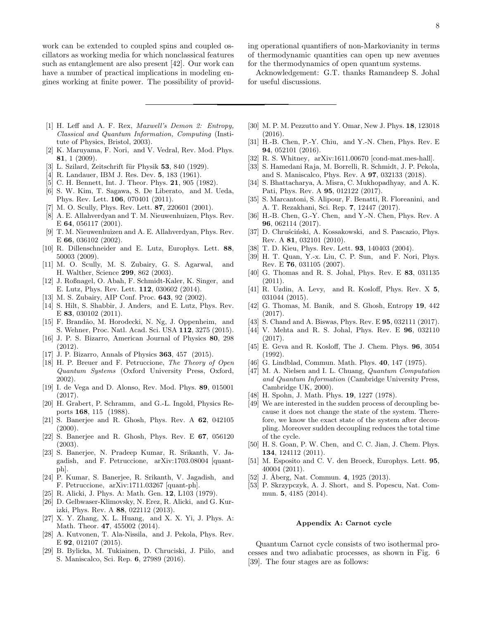work can be extended to coupled spins and coupled oscillators as working media for which nonclassical features such as entanglement are also present [42]. Our work can have a number of practical implications in modeling engines working at finite power. The possibility of providing operational quantifiers of non-Markovianity in terms of thermodynamic quantities can open up new avenues for the thermodynamics of open quantum systems.

Acknowledgement: G.T. thanks Ramandeep S. Johal for useful discussions.

- [1] H. Leff and A. F. Rex, *Maxwell's Demon 2: Entropy*, Classical and Quantum Information, Computing (Institute of Physics, Bristol, 2003).
- [2] K. Maruyama, F. Nori, and V. Vedral, Rev. Mod. Phys. 81, 1 (2009).
- [3] L. Szilard, Zeitschrift für Physik  $53$ ,  $840$  (1929).
- [4] R. Landauer, IBM J. Res. Dev. 5, 183 (1961).
- [5] C. H. Bennett, Int. J. Theor. Phys. 21, 905 (1982).
- [6] S. W. Kim, T. Sagawa, S. De Liberato, and M. Ueda, Phys. Rev. Lett. 106, 070401 (2011).
- [7] M. O. Scully, Phys. Rev. Lett. **87**, 220601 (2001).
- [8] A. E. Allahverdyan and T. M. Nieuwenhuizen, Phys. Rev. E 64, 056117 (2001).
- [9] T. M. Nieuwenhuizen and A. E. Allahverdyan, Phys. Rev. E 66, 036102 (2002).
- [10] R. Dillenschneider and E. Lutz, Europhys. Lett. 88, 50003 (2009).
- [11] M. O. Scully, M. S. Zubairy, G. S. Agarwal, and H. Walther, Science 299, 862 (2003).
- [12] J. Roßnagel, O. Abah, F. Schmidt-Kaler, K. Singer, and E. Lutz, Phys. Rev. Lett. 112, 030602 (2014).
- [13] M. S. Zubairy, AIP Conf. Proc. **643**, 92 (2002).
- [14] S. Hilt, S. Shabbir, J. Anders, and E. Lutz, Phys. Rev. E 83, 030102 (2011).
- [15] F. Brandão, M. Horodecki, N. Ng, J. Oppenheim, and S. Wehner, Proc. Natl. Acad. Sci. USA 112, 3275 (2015).
- [16] J. P. S. Bizarro, American Journal of Physics 80, 298 (2012).
- [17] J. P. Bizarro, Annals of Physics 363, 457 (2015).
- [18] H. P. Breuer and F. Petruccione, The Theory of Open Quantum Systems (Oxford University Press, Oxford, 2002).
- [19] I. de Vega and D. Alonso, Rev. Mod. Phys. 89, 015001 (2017).
- [20] H. Grabert, P. Schramm, and G.-L. Ingold, Physics Reports 168, 115 (1988).
- [21] S. Banerjee and R. Ghosh, Phys. Rev. A 62, 042105  $(2000)$ .
- [22] S. Banerjee and R. Ghosh, Phys. Rev. E 67, 056120 (2003).
- [23] S. Banerjee, N. Pradeep Kumar, R. Srikanth, V. Jagadish, and F. Petruccione, arXiv:1703.08004 [quantph].
- [24] P. Kumar, S. Banerjee, R. Srikanth, V. Jagadish, and F. Petruccione, arXiv:1711.03267 [quant-ph].
- [25] R. Alicki, J. Phys. A: Math. Gen. 12, L103 (1979).
- [26] D. Gelbwaser-Klimovsky, N. Erez, R. Alicki, and G. Kurizki, Phys. Rev. A 88, 022112 (2013).
- [27] X. Y. Zhang, X. L. Huang, and X. X. Yi, J. Phys. A: Math. Theor. **47.** 455002 (2014).
- [28] A. Kutvonen, T. Ala-Nissila, and J. Pekola, Phys. Rev. E 92, 012107 (2015).
- [29] B. Bylicka, M. Tukiainen, D. Chruciski, J. Piilo, and S. Maniscalco, Sci. Rep. 6, 27989 (2016).
- [30] M. P. M. Pezzutto and Y. Omar, New J. Phys. 18, 123018 (2016).
- [31] H.-B. Chen, P.-Y. Chiu, and Y.-N. Chen, Phys. Rev. E 94, 052101 (2016).
- [32] R. S. Whitney, arXiv:1611.00670 [cond-mat.mes-hall].
- [33] S. Hamedani Raja, M. Borrelli, R. Schmidt, J. P. Pekola, and S. Maniscalco, Phys. Rev. A 97, 032133 (2018).
- [34] S. Bhattacharya, A. Misra, C. Mukhopadhyay, and A. K. Pati, Phys. Rev. A 95, 012122 (2017).
- [35] S. Marcantoni, S. Alipour, F. Benatti, R. Floreanini, and A. T. Rezakhani, Sci. Rep. 7, 12447 (2017).
- [36] H.-B. Chen, G.-Y. Chen, and Y.-N. Chen, Phys. Rev. A 96, 062114 (2017).
- [37] D. Chruściński, A. Kossakowski, and S. Pascazio, Phys. Rev. A 81, 032101 (2010).
- [38] T. D. Kieu, Phys. Rev. Lett. 93, 140403 (2004).
- [39] H. T. Quan, Y.-x. Liu, C. P. Sun, and F. Nori, Phys. Rev. E 76, 031105 (2007).
- [40] G. Thomas and R. S. Johal, Phys. Rev. E 83, 031135  $(2011).$
- [41] R. Uzdin, A. Levy, and R. Kosloff, Phys. Rev. X 5, 031044 (2015).
- [42] G. Thomas, M. Banik, and S. Ghosh, Entropy 19, 442 (2017).
- [43] S. Chand and A. Biswas, Phys. Rev. E **95**, 032111 (2017).
- [44] V. Mehta and R. S. Johal, Phys. Rev. E 96, 032110 (2017).
- [45] E. Geva and R. Kosloff, The J. Chem. Phys. 96, 3054 (1992).
- [46] G. Lindblad, Commun. Math. Phys. **40**, 147 (1975).
- [47] M. A. Nielsen and I. L. Chuang, Quantum Computation and Quantum Information (Cambridge University Press, Cambridge UK, 2000).
- [48] H. Spohn, J. Math. Phys. 19, 1227 (1978).
- [49] We are interested in the sudden process of decoupling because it does not change the state of the system. Therefore, we know the exact state of the system after decoupling. Moreover sudden decoupling reduces the total time of the cycle.
- [50] H. S. Goan, P. W. Chen, and C. C. Jian, J. Chem. Phys. 134, 124112 (2011).
- [51] M. Esposito and C. V. den Broeck, Europhys. Lett. 95, 40004 (2011).
- [52] J. Åberg, Nat. Commun. 4, 1925 (2013).
- [53] P. Skrzypczyk, A. J. Short, and S. Popescu, Nat. Commun. 5, 4185 (2014).

## Appendix A: Carnot cycle

Quantum Carnot cycle consists of two isothermal processes and two adiabatic processes, as shown in Fig. 6 [39]. The four stages are as follows: